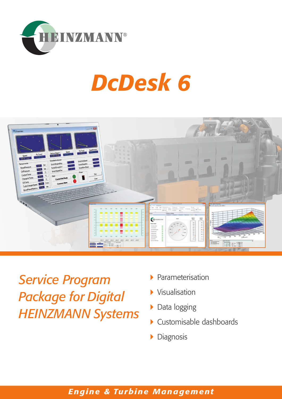

# *DcDesk 6*



*Service Program Package for Digital HEINZMANN Systems*

- Parameterisation
- Visualisation
- ▶ Data logging
- Customisable dashboards
- **Diagnosis**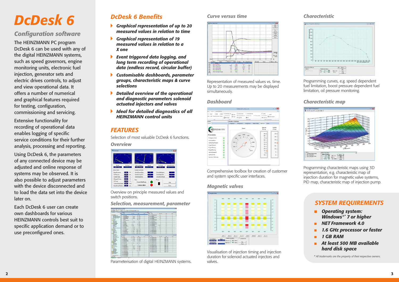# *DcDesk 6*

## *Configuration software*

The HEINZMANN PC program DcDesk 6 can be used with any of the digital HEINZMANN systems, such as speed governors, engine monitoring units, electronic fuel injection, generator sets and electric drives controls, to adjust and view operational data. It offers a number of numerical and graphical features required for testing, configuration, commissioning and servicing.

Extensive functionality for recording of operational data enables logging of specific service conditions for their further analysis, processing and reporting.

Using DcDesk 6, the parameters of any connected device may be adjusted and online response of systems may be observed. It is also possible to adjust parameters with the device disconnected and to load the data set into the device later on.

Each DcDesk 6 user can create own dashboards for various HEINZMANN controls best suit to specific application demand or to use preconfigured ones.



Parameterisation of digital HEINZMANN systems.

## *Selection, measurement, parameter*

## *Overview*



*Characteristic map*



Programming characteristic maps using 3D representation, e.g. characteristic map of injection duration for magnetic valve systems, PID map, characteristic map of injection pump.

*Characteristic*

| 80.0            |  |
|-----------------|--|
| ma-             |  |
| 40.0            |  |
| 36.5            |  |
| 20.0            |  |
| $10.0 -$        |  |
|                 |  |
| 40 <sup>1</sup> |  |
|                 |  |
|                 |  |

Programming curves, e.g. speed dependent fuel limitation, boost pressure dependent fuel limitation, oil pressure monitoring.

## *Magnetic valves*



Visualisation of injection timing and injection duration for solenoid actuated injectors and valves.

## *Dashboard*



Comprehensive toolbox for creation of customer and system specific user interfaces.

## *Curve versus time*



Representation of measured values vs. time. Up to 20 measurements may be displayed simultaneously.

Overview on principle measured values and switch positions.

## *FEATURES*

Selection of most valuable DcDesk 6 functions.

## *DcDesk 6 Benefits*

- *Graphical representation of up to 20 measured values in relation to time*
- *Graphical representation of 19 measured values in relation to a X one*
- *Event triggered data logging, and long term recording of operational data (endless record, circular buffer)*
- *Customisable dashboards, parameter groups, characteristic maps & curve selections*
- *Detailed overview of the operational and diagnostic parameters solenoid actuated injectors and valves*
- *Ideal for detailed diagnostics of all HEINZMANN control units*